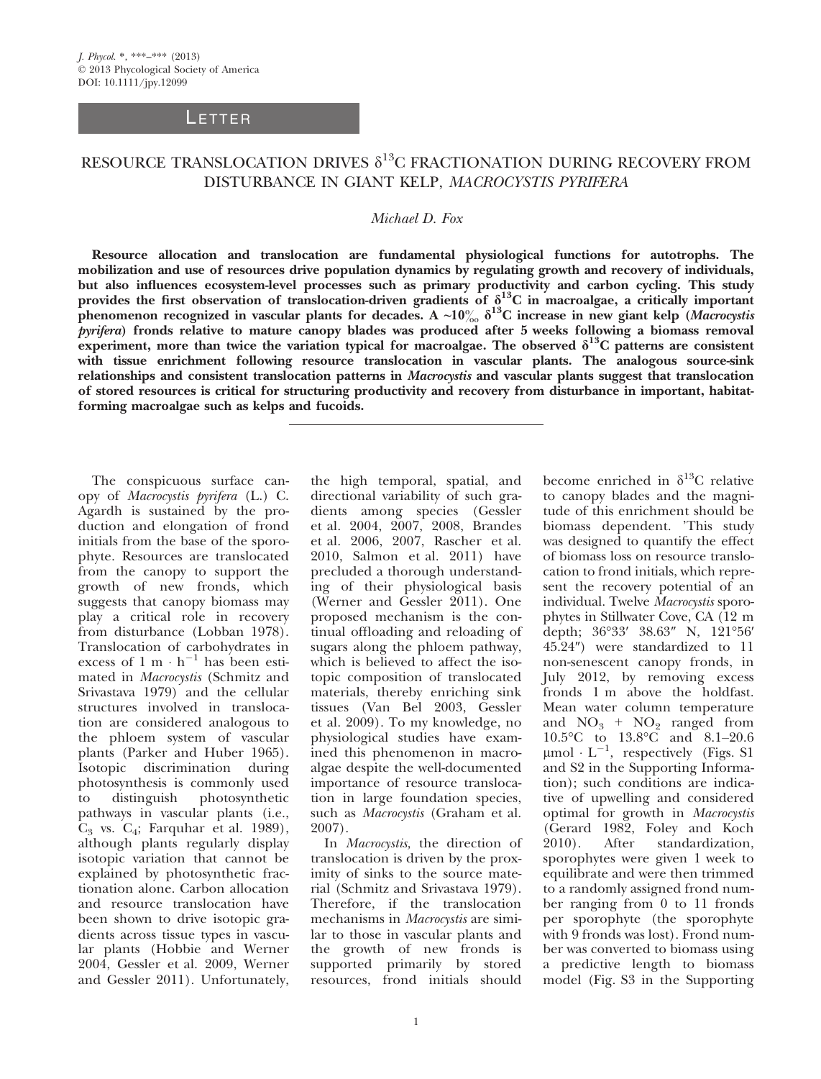## **LETTER**

## RESOURCE TRANSLOCATION DRIVES  $\delta^{13}$ C FRACTIONATION DURING RECOVERY FROM DISTURBANCE IN GIANT KELP, MACROCYSTIS PYRIFERA

## Michael D. Fox

Resource allocation and translocation are fundamental physiological functions for autotrophs. The mobilization and use of resources drive population dynamics by regulating growth and recovery of individuals, but also influences ecosystem-level processes such as primary productivity and carbon cycling. This study provides the first observation of translocation-driven gradients of  $\delta^{13}C$  in macroalgae, a critically important phenomenon recognized in vascular plants for decades. A ~10 $\frac{\delta}{\delta}$  d<sup>13</sup>C increase in new giant kelp (Macrocystis pyrifera) fronds relative to mature canopy blades was produced after 5 weeks following a biomass removal experiment, more than twice the variation typical for macroalgae. The observed  $\delta^{13}C$  patterns are consistent with tissue enrichment following resource translocation in vascular plants. The analogous source-sink relationships and consistent translocation patterns in Macrocystis and vascular plants suggest that translocation of stored resources is critical for structuring productivity and recovery from disturbance in important, habitatforming macroalgae such as kelps and fucoids.

The conspicuous surface canopy of Macrocystis pyrifera (L.) C. Agardh is sustained by the production and elongation of frond initials from the base of the sporophyte. Resources are translocated from the canopy to support the growth of new fronds, which suggests that canopy biomass may play a critical role in recovery from disturbance (Lobban 1978). Translocation of carbohydrates in excess of  $1 \text{ m} \cdot \text{h}^{-1}$  has been estimated in Macrocystis (Schmitz and Srivastava 1979) and the cellular structures involved in translocation are considered analogous to the phloem system of vascular plants (Parker and Huber 1965). Isotopic discrimination during photosynthesis is commonly used to distinguish photosynthetic pathways in vascular plants (i.e.,  $C_3$  vs.  $C_4$ ; Farquhar et al. 1989), although plants regularly display isotopic variation that cannot be explained by photosynthetic fractionation alone. Carbon allocation and resource translocation have been shown to drive isotopic gradients across tissue types in vascular plants (Hobbie and Werner 2004, Gessler et al. 2009, Werner and Gessler 2011). Unfortunately,

the high temporal, spatial, and directional variability of such gradients among species (Gessler et al. 2004, 2007, 2008, Brandes et al. 2006, 2007, Rascher et al. 2010, Salmon et al. 2011) have precluded a thorough understanding of their physiological basis (Werner and Gessler 2011). One proposed mechanism is the continual offloading and reloading of sugars along the phloem pathway, which is believed to affect the isotopic composition of translocated materials, thereby enriching sink tissues (Van Bel 2003, Gessler et al. 2009). To my knowledge, no physiological studies have examined this phenomenon in macroalgae despite the well-documented importance of resource translocation in large foundation species, such as *Macrocystis* (Graham et al. 2007).

In Macrocystis, the direction of translocation is driven by the proximity of sinks to the source material (Schmitz and Srivastava 1979). Therefore, if the translocation mechanisms in Macrocystis are similar to those in vascular plants and the growth of new fronds is supported primarily by stored resources, frond initials should

become enriched in  $\delta^{13}$ C relative to canopy blades and the magnitude of this enrichment should be biomass dependent. 'This study was designed to quantify the effect of biomass loss on resource translocation to frond initials, which represent the recovery potential of an individual. Twelve Macrocystis sporophytes in Stillwater Cove, CA (12 m depth; 36°33′ 38.63″ N, 121°56′ 45.24″) were standardized to 11 non-senescent canopy fronds, in July 2012, by removing excess fronds 1 m above the holdfast. Mean water column temperature and  $NO_3$  +  $NO_2$  ranged from 10.5°C to 13.8°C and 8.1–20.6  $\mu$ mol  $L^{-1}$ , respectively (Figs. S1 and S2 in the Supporting Information); such conditions are indicative of upwelling and considered optimal for growth in Macrocystis (Gerard 1982, Foley and Koch 2010). After standardization, sporophytes were given 1 week to equilibrate and were then trimmed to a randomly assigned frond number ranging from 0 to 11 fronds per sporophyte (the sporophyte with 9 fronds was lost). Frond number was converted to biomass using a predictive length to biomass model (Fig. S3 in the Supporting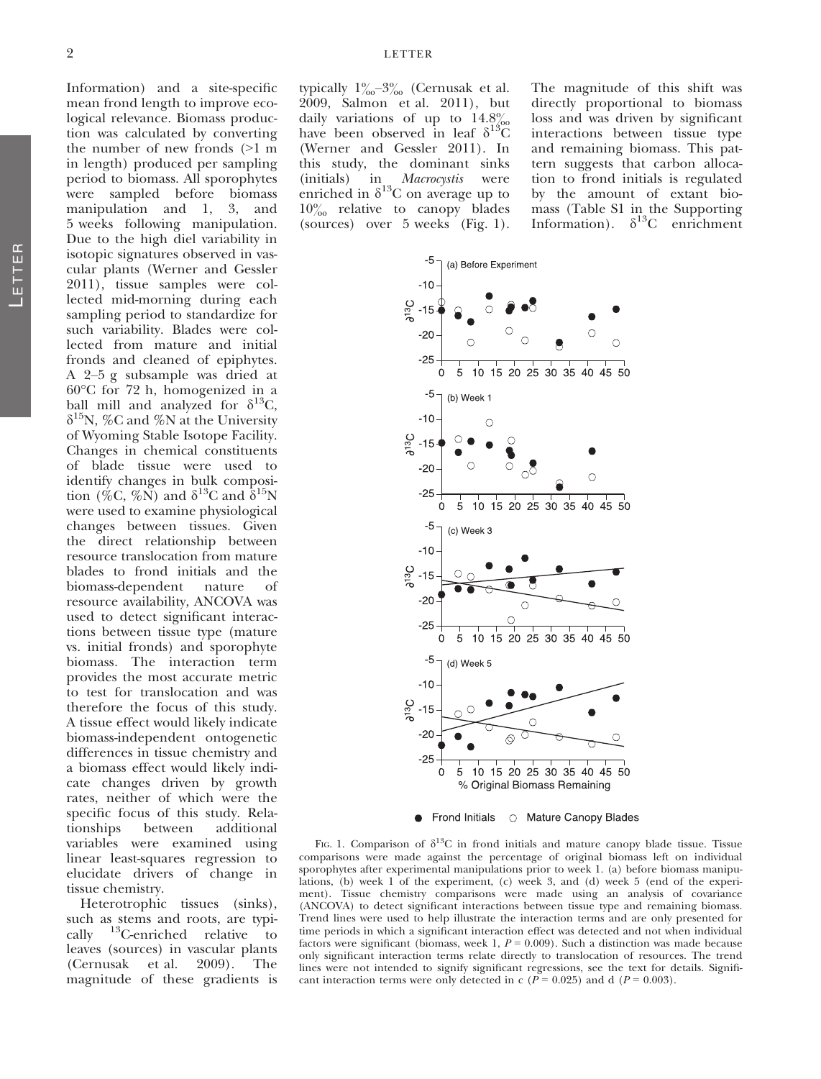typically  $1\%_{00}$ –3% (Cernusak et al. 2009, Salmon et al. 2011), but daily variations of up to  $14.8\%$ have been observed in leaf  $\delta^{13}\overset{\circ}{C}$ (Werner and Gessler 2011). In this study, the dominant sinks (initials) in *Macrocystis* were enriched in  $\delta^{13}$ C on average up to  $10\%$  relative to canopy blades (sources) over 5 weeks (Fig. 1).

The magnitude of this shift was directly proportional to biomass loss and was driven by significant interactions between tissue type and remaining biomass. This pattern suggests that carbon allocation to frond initials is regulated by the amount of extant biomass (Table S1 in the Supporting Information).  $\delta^{13}C$  enrichment



• Frond Initials 
o Mature Canopy Blades

FIG. 1. Comparison of  $\delta^{13}C$  in frond initials and mature canopy blade tissue. Tissue comparisons were made against the percentage of original biomass left on individual sporophytes after experimental manipulations prior to week 1. (a) before biomass manipulations, (b) week 1 of the experiment, (c) week 3, and (d) week 5 (end of the experiment). Tissue chemistry comparisons were made using an analysis of covariance (ANCOVA) to detect significant interactions between tissue type and remaining biomass. Trend lines were used to help illustrate the interaction terms and are only presented for time periods in which a significant interaction effect was detected and not when individual factors were significant (biomass, week 1,  $P = 0.009$ ). Such a distinction was made because only significant interaction terms relate directly to translocation of resources. The trend lines were not intended to signify significant regressions, see the text for details. Significant interaction terms were only detected in c ( $P = 0.025$ ) and d ( $P = 0.003$ ).

logical relevance. Biomass production was calculated by converting the number of new fronds (>1 m in length) produced per sampling period to biomass. All sporophytes were sampled before biomass manipulation and 1, 3, and 5 weeks following manipulation. Due to the high diel variability in isotopic signatures observed in vascular plants (Werner and Gessler 2011), tissue samples were collected mid-morning during each sampling period to standardize for such variability. Blades were collected from mature and initial fronds and cleaned of epiphytes. A 2–5 g subsample was dried at 60°C for 72 h, homogenized in a ball mill and analyzed for  $\delta^{13}C$ ,  $\delta^{15}$ N, %C and %N at the University of Wyoming Stable Isotope Facility. Changes in chemical constituents of blade tissue were used to identify changes in bulk composition (%C, %N) and  $\delta^{13}$ C and  $\delta^{15}$ N were used to examine physiological changes between tissues. Given the direct relationship between resource translocation from mature blades to frond initials and the<br>biomass-dependent nature of biomass-dependent nature of resource availability, ANCOVA was used to detect significant interactions between tissue type (mature vs. initial fronds) and sporophyte biomass. The interaction term provides the most accurate metric to test for translocation and was therefore the focus of this study. A tissue effect would likely indicate biomass-independent ontogenetic differences in tissue chemistry and a biomass effect would likely indicate changes driven by growth rates, neither of which were the specific focus of this study. Relationships between additional variables were examined using linear least-squares regression to elucidate drivers of change in tissue chemistry.

Information) and a site-specific mean frond length to improve eco-

Heterotrophic tissues (sinks), such as stems and roots, are typically 13C-enriched relative to leaves (sources) in vascular plants (Cernusak et al. 2009). The magnitude of these gradients is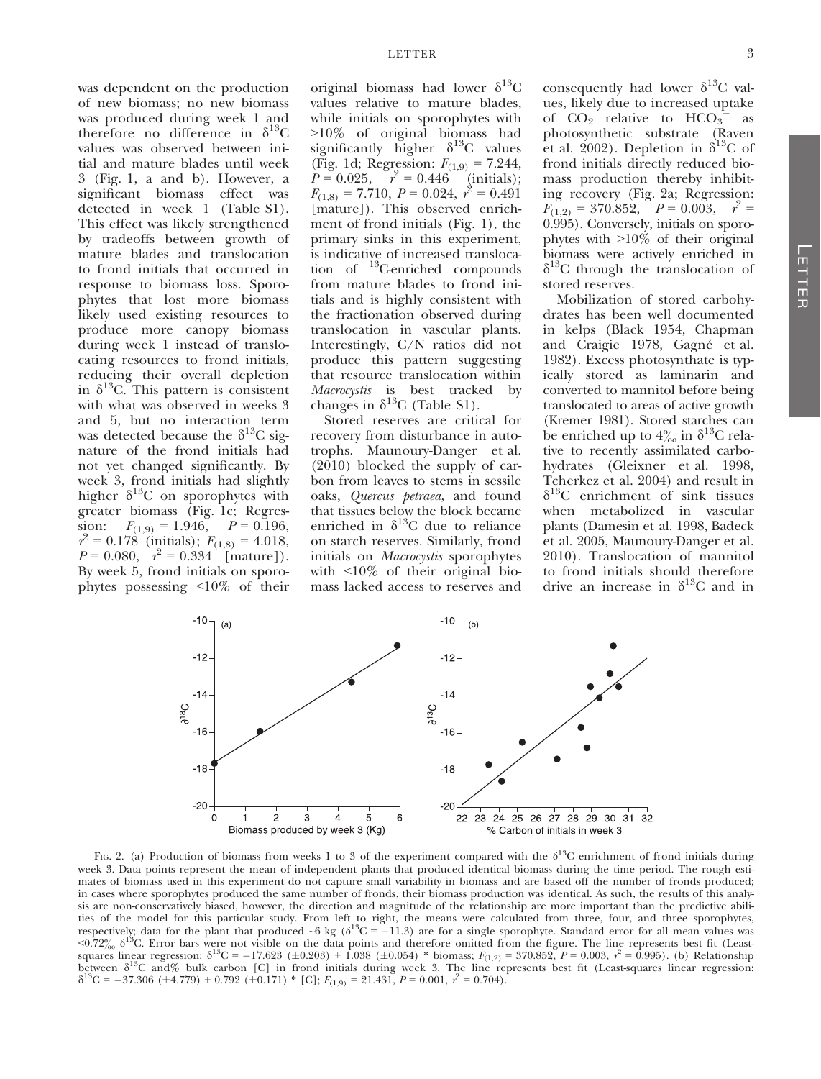was dependent on the production of new biomass; no new biomass was produced during week 1 and therefore no difference in  $\delta^{13}C$ values was observed between initial and mature blades until week 3 (Fig. 1, a and b). However, a significant biomass effect was detected in week 1 (Table S1). This effect was likely strengthened by tradeoffs between growth of mature blades and translocation to frond initials that occurred in response to biomass loss. Sporophytes that lost more biomass likely used existing resources to produce more canopy biomass during week 1 instead of translocating resources to frond initials, reducing their overall depletion in  $\delta^{13}$ C. This pattern is consistent with what was observed in weeks 3 and 5, but no interaction term was detected because the  $\delta^{13}$ C signature of the frond initials had not yet changed significantly. By week 3, frond initials had slightly higher  $\delta^{13}$ C on sporophytes with greater biomass (Fig. 1c; Regression:  $F_{(1,9)} = 1.946$ ,  $P = 0.196$ ,  $r^2 = 0.178$  (initials);  $F_{(1,8)} = 4.018$ ,  $P = 0.080$ ,  $r^2 = 0.334$  [mature]). By week 5, frond initials on sporophytes possessing <10% of their

original biomass had lower  $\delta^{13}C$ values relative to mature blades, while initials on sporophytes with >10% of original biomass had significantly higher  $\delta^{13}$ C values (Fig. 1d; Regression:  $F_{(1,9)} = 7.244$ ,  $P = 0.025$ ,  $r^2 = 0.446$  (initials);  $F_{(1,8)} = 7.710, P = 0.024, r^2 = 0.491$ [mature]). This observed enrichment of frond initials (Fig. 1), the primary sinks in this experiment, is indicative of increased translocation of 13C-enriched compounds from mature blades to frond initials and is highly consistent with the fractionation observed during translocation in vascular plants. Interestingly, C/N ratios did not produce this pattern suggesting that resource translocation within Macrocystis is best tracked by changes in  $\delta^{13}$ C (Table S1).

Stored reserves are critical for recovery from disturbance in autotrophs. Maunoury-Danger et al. (2010) blocked the supply of carbon from leaves to stems in sessile oaks, Quercus petraea, and found that tissues below the block became enriched in  $\delta^{13}$ C due to reliance on starch reserves. Similarly, frond initials on Macrocystis sporophytes with <10% of their original biomass lacked access to reserves and consequently had lower  $\delta^{13}$ C values, likely due to increased uptake of  $CO<sub>2</sub>$  relative to  $HCO<sub>3</sub>$  as photosynthetic substrate (Raven et al. 2002). Depletion in  $\delta^{13}$ C of frond initials directly reduced biomass production thereby inhibiting recovery (Fig. 2a; Regression:  $F_{(1,2)} = 370.852, \quad P = 0.003, \quad r^2 =$ 0.995). Conversely, initials on sporophytes with >10% of their original biomass were actively enriched in  $\delta^{13}$ C through the translocation of stored reserves.

Mobilization of stored carbohydrates has been well documented in kelps (Black 1954, Chapman and Craigie 1978, Gagné et al. 1982). Excess photosynthate is typically stored as laminarin and converted to mannitol before being translocated to areas of active growth (Kremer 1981). Stored starches can be enriched up to  $4\%$  in  $\delta^{13}$ C relative to recently assimilated carbohydrates (Gleixner et al. 1998, Tcherkez et al. 2004) and result in  $\delta^{13}$ C enrichment of sink tissues when metabolized in vascular plants (Damesin et al. 1998, Badeck et al. 2005, Maunoury-Danger et al. 2010). Translocation of mannitol to frond initials should therefore drive an increase in  $\delta^{13}$ C and in



FIG. 2. (a) Production of biomass from weeks 1 to 3 of the experiment compared with the  $\delta^{13}C$  enrichment of frond initials during week 3. Data points represent the mean of independent plants that produced identical biomass during the time period. The rough estimates of biomass used in this experiment do not capture small variability in biomass and are based off the number of fronds produced; in cases where sporophytes produced the same number of fronds, their biomass production was identical. As such, the results of this analysis are non-conservatively biased, however, the direction and magnitude of the relationship are more important than the predictive abilities of the model for this particular study. From left to right, the means were calculated from three, four, and three sporophytes, respectively; data for the plant that produced ~6 kg ( $\delta^{13}C = -11.3$ ) are for a single sporophyte. Standard error for all mean values was  $\sim 0.72\%$   $\delta^{13}$ C. Error bars were not visible on the data points and therefore omitted from the figure. The line represents best fit (Leastsquares linear regression:  $\delta^{13}C = -17.623$  (±0.203) + 1.038 (±0.054) \* biomass;  $F_{(1,2)} = 370.852$ ,  $P = 0.003$ ,  $r^2 = 0.995$ ). (b) Relationship between  $\delta^{13}$ C and% bulk carbon [C] in frond initials during week 3. The line represents best fit (Least-squares linear regression:  $\delta^{13}$ C = -37.306 (±4.779) + 0.792 (±0.171) \* [C];  $F_{(1,9)} = 21.431$ ,  $P = 0.001$ ,  $r^2 = 0.704$ ).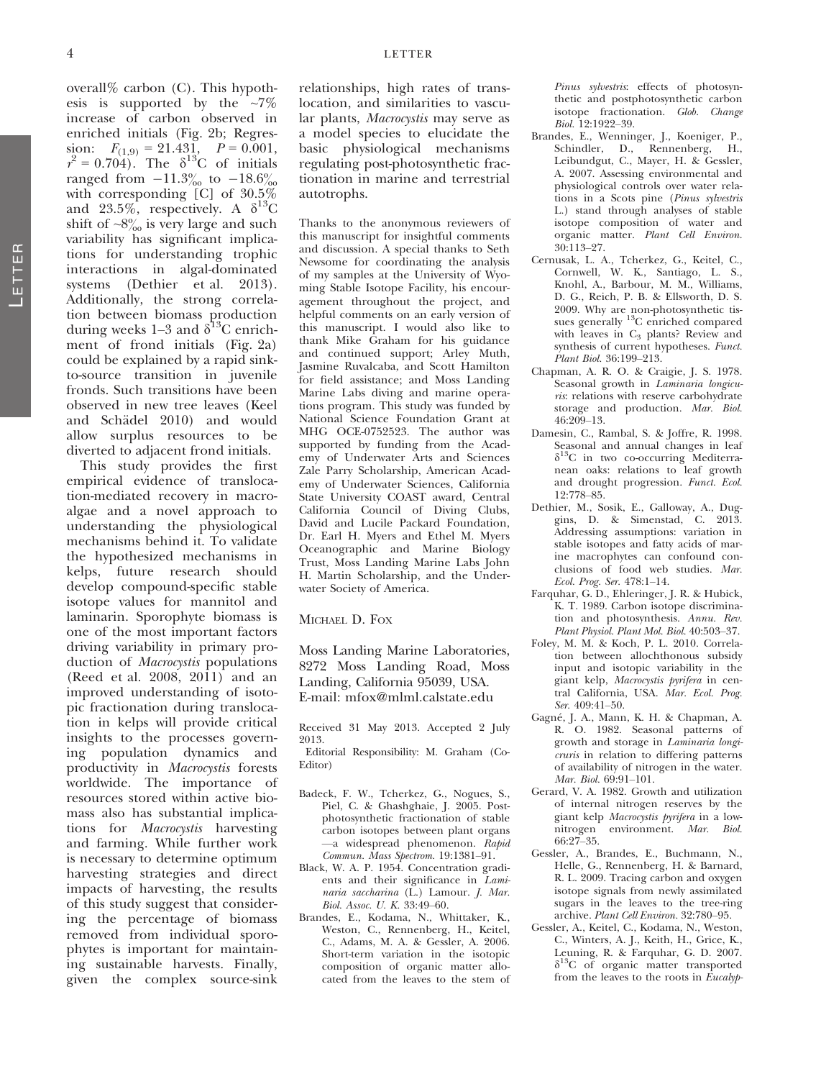overall% carbon (C). This hypothesis is supported by the  $\sim 7\%$ increase of carbon observed in enriched initials (Fig. 2b; Regression:  $F_{(1,9)} = 21.431, P = 0.001,$  $r^2 = 0.704$ ). The  $\delta^{13}$ C of initials ranged from  $-11.3\%$  to  $-18.6\%$ with corresponding [C] of 30.5% and 23.5%, respectively. A  $\delta^{13}C$ shift of  $\sim 8\%$  is very large and such variability has significant implications for understanding trophic interactions in algal-dominated systems (Dethier et al. 2013). Additionally, the strong correlation between biomass production during weeks 1–3 and  $\delta^{13}$ C enrichment of frond initials (Fig. 2a) could be explained by a rapid sinkto-source transition in juvenile fronds. Such transitions have been observed in new tree leaves (Keel and Schädel 2010) and would allow surplus resources to be diverted to adjacent frond initials.

This study provides the first empirical evidence of translocation-mediated recovery in macroalgae and a novel approach to understanding the physiological mechanisms behind it. To validate the hypothesized mechanisms in kelps, future research should develop compound-specific stable isotope values for mannitol and laminarin. Sporophyte biomass is one of the most important factors driving variability in primary production of Macrocystis populations (Reed et al. 2008, 2011) and an improved understanding of isotopic fractionation during translocation in kelps will provide critical insights to the processes governing population dynamics and productivity in Macrocystis forests worldwide. The importance of resources stored within active biomass also has substantial implications for Macrocystis harvesting and farming. While further work is necessary to determine optimum harvesting strategies and direct impacts of harvesting, the results of this study suggest that considering the percentage of biomass removed from individual sporophytes is important for maintaining sustainable harvests. Finally, given the complex source-sink

relationships, high rates of translocation, and similarities to vascular plants, Macrocystis may serve as a model species to elucidate the basic physiological mechanisms regulating post-photosynthetic fractionation in marine and terrestrial autotrophs.

Thanks to the anonymous reviewers of this manuscript for insightful comments and discussion. A special thanks to Seth Newsome for coordinating the analysis of my samples at the University of Wyoming Stable Isotope Facility, his encouragement throughout the project, and helpful comments on an early version of this manuscript. I would also like to thank Mike Graham for his guidance and continued support; Arley Muth, Jasmine Ruvalcaba, and Scott Hamilton for field assistance; and Moss Landing Marine Labs diving and marine operations program. This study was funded by National Science Foundation Grant at MHG OCE-0752523. The author was supported by funding from the Academy of Underwater Arts and Sciences Zale Parry Scholarship, American Academy of Underwater Sciences, California State University COAST award, Central California Council of Diving Clubs, David and Lucile Packard Foundation, Dr. Earl H. Myers and Ethel M. Myers Oceanographic and Marine Biology Trust, Moss Landing Marine Labs John H. Martin Scholarship, and the Underwater Society of America.

MICHAEL D. FOX

Moss Landing Marine Laboratories, 8272 Moss Landing Road, Moss Landing, California 95039, USA. E-mail: mfox@mlml.calstate.edu

Received 31 May 2013. Accepted 2 July 2013.

Editorial Responsibility: M. Graham (Co-Editor)

- Badeck, F. W., Tcherkez, G., Nogues, S., Piel, C. & Ghashghaie, J. 2005. Postphotosynthetic fractionation of stable carbon isotopes between plant organs —a widespread phenomenon. Rapid Commun. Mass Spectrom. 19:1381–91.
- Black, W. A. P. 1954. Concentration gradients and their significance in Laminaria saccharina  $(\tilde{L})$  Lamour. J. Mar. Biol. Assoc. U. K. 33:49–60.
- Brandes, E., Kodama, N., Whittaker, K., Weston, C., Rennenberg, H., Keitel, C., Adams, M. A. & Gessler, A. 2006. Short-term variation in the isotopic composition of organic matter allocated from the leaves to the stem of

Pinus sylvestris: effects of photosynthetic and postphotosynthetic carbon isotope fractionation. Glob. Change Biol. 12:1922–39.

- Brandes, E., Wenninger, J., Koeniger, P., Schindler, D., Rennenberg, H., Leibundgut, C., Mayer, H. & Gessler, A. 2007. Assessing environmental and physiological controls over water relations in a Scots pine (Pinus sylvestris L.) stand through analyses of stable isotope composition of water and organic matter. Plant Cell Environ. 30:113–27.
- Cernusak, L. A., Tcherkez, G., Keitel, C., Cornwell, W. K., Santiago, L. S., Knohl, A., Barbour, M. M., Williams, D. G., Reich, P. B. & Ellsworth, D. S. 2009. Why are non-photosynthetic tissues generally  $^{13}$ C enriched compared with leaves in  $C_3$  plants? Review and synthesis of current hypotheses. Funct. Plant Biol. 36:199–213.
- Chapman, A. R. O. & Craigie, J. S. 1978. Seasonal growth in Laminaria longicuris: relations with reserve carbohydrate storage and production. Mar. Biol. 46:209–13.
- Damesin, C., Rambal, S. & Joffre, R. 1998. Seasonal and annual changes in leaf  $\delta^{13}$ C in two co-occurring Mediterranean oaks: relations to leaf growth and drought progression. Funct. Ecol. 12:778–85.
- Dethier, M., Sosik, E., Galloway, A., Duggins, D. & Simenstad, C. 2013. Addressing assumptions: variation in stable isotopes and fatty acids of marine macrophytes can confound conclusions of food web studies. Mar. Ecol. Prog. Ser. 478:1–14.
- Farquhar, G. D., Ehleringer, J. R. & Hubick, K. T. 1989. Carbon isotope discrimination and photosynthesis. Annu. Rev. Plant Physiol. Plant Mol. Biol. 40:503–37.
- Foley, M. M. & Koch, P. L. 2010. Correlation between allochthonous subsidy input and isotopic variability in the giant kelp, Macrocystis pyrifera in central California, USA. Mar. Ecol. Prog. Ser. 409:41–50.
- Gagne, J. A., Mann, K. H. & Chapman, A. R. O. 1982. Seasonal patterns of growth and storage in Laminaria longicruris in relation to differing patterns of availability of nitrogen in the water. Mar. Biol. 69:91–101.
- Gerard, V. A. 1982. Growth and utilization of internal nitrogen reserves by the giant kelp Macrocystis pyrifera in a lownitrogen environment. Mar. Biol. 66:27–35.
- Gessler, A., Brandes, E., Buchmann, N., Helle, G., Rennenberg, H. & Barnard, R. L. 2009. Tracing carbon and oxygen isotope signals from newly assimilated sugars in the leaves to the tree-ring archive. Plant Cell Environ. 32:780–95.
- Gessler, A., Keitel, C., Kodama, N., Weston, C., Winters, A. J., Keith, H., Grice, K., Leuning, R. & Farquhar, G. D. 2007.  $\delta^{13}$ C of organic matter transported from the leaves to the roots in Eucalyp-